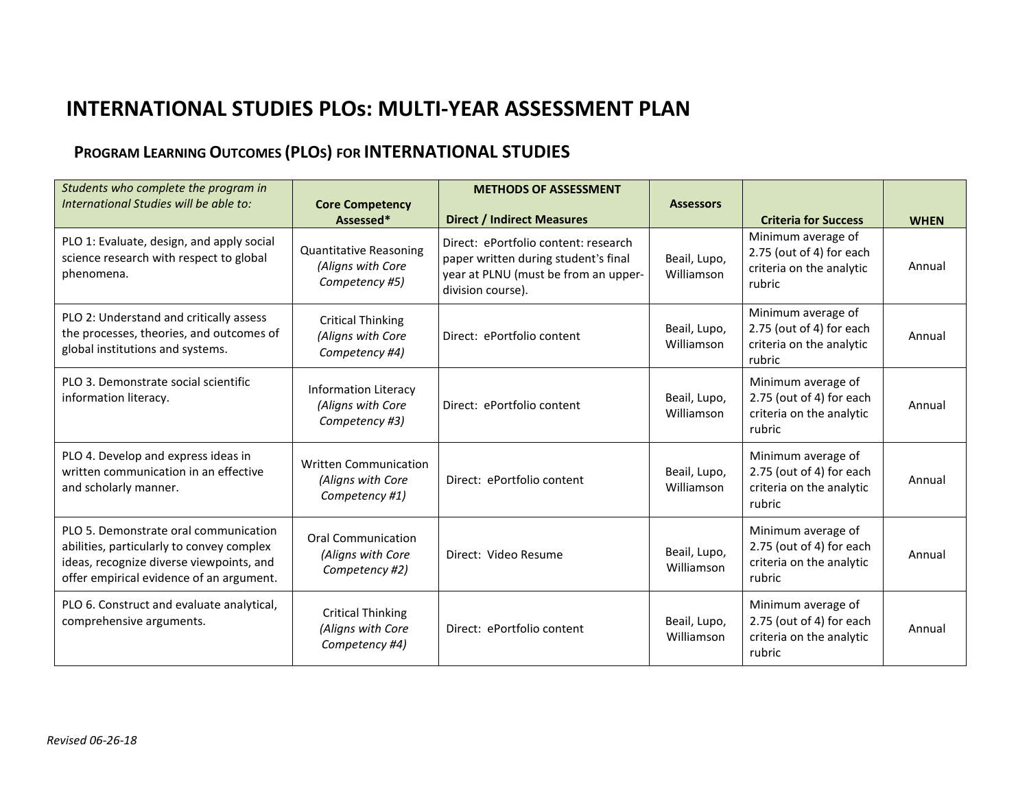# **INTERNATIONAL STUDIES PLOs: MULTI‐YEAR ASSESSMENT PLAN**

# **PROGRAM LEARNING OUTCOMES (PLOS) FOR INTERNATIONAL STUDIES**

| Students who complete the program in                                                                                                                                       |                                                                      | <b>METHODS OF ASSESSMENT</b>                                                                                                              |                            |                                                                                      |             |
|----------------------------------------------------------------------------------------------------------------------------------------------------------------------------|----------------------------------------------------------------------|-------------------------------------------------------------------------------------------------------------------------------------------|----------------------------|--------------------------------------------------------------------------------------|-------------|
| International Studies will be able to:                                                                                                                                     | <b>Core Competency</b><br>Assessed*                                  | <b>Direct / Indirect Measures</b>                                                                                                         | <b>Assessors</b>           | <b>Criteria for Success</b>                                                          | <b>WHEN</b> |
| PLO 1: Evaluate, design, and apply social<br>science research with respect to global<br>phenomena.                                                                         | <b>Quantitative Reasoning</b><br>(Aligns with Core<br>Competency #5) | Direct: ePortfolio content: research<br>paper written during student's final<br>year at PLNU (must be from an upper-<br>division course). | Beail, Lupo,<br>Williamson | Minimum average of<br>2.75 (out of 4) for each<br>criteria on the analytic<br>rubric | Annual      |
| PLO 2: Understand and critically assess<br>the processes, theories, and outcomes of<br>global institutions and systems.                                                    | <b>Critical Thinking</b><br>(Aligns with Core<br>Competency #4)      | Direct: ePortfolio content                                                                                                                | Beail, Lupo,<br>Williamson | Minimum average of<br>2.75 (out of 4) for each<br>criteria on the analytic<br>rubric | Annual      |
| PLO 3. Demonstrate social scientific<br>information literacy.                                                                                                              | <b>Information Literacy</b><br>(Aligns with Core<br>Competency #3)   | Direct: ePortfolio content                                                                                                                | Beail, Lupo,<br>Williamson | Minimum average of<br>2.75 (out of 4) for each<br>criteria on the analytic<br>rubric | Annual      |
| PLO 4. Develop and express ideas in<br>written communication in an effective<br>and scholarly manner.                                                                      | <b>Written Communication</b><br>(Aligns with Core<br>Competency #1)  | Direct: ePortfolio content                                                                                                                | Beail, Lupo,<br>Williamson | Minimum average of<br>2.75 (out of 4) for each<br>criteria on the analytic<br>rubric | Annual      |
| PLO 5. Demonstrate oral communication<br>abilities, particularly to convey complex<br>ideas, recognize diverse viewpoints, and<br>offer empirical evidence of an argument. | <b>Oral Communication</b><br>(Aligns with Core<br>Competency #2)     | Direct: Video Resume                                                                                                                      | Beail, Lupo,<br>Williamson | Minimum average of<br>2.75 (out of 4) for each<br>criteria on the analytic<br>rubric | Annual      |
| PLO 6. Construct and evaluate analytical,<br>comprehensive arguments.                                                                                                      | <b>Critical Thinking</b><br>(Aligns with Core<br>Competency #4)      | Direct: ePortfolio content                                                                                                                | Beail, Lupo,<br>Williamson | Minimum average of<br>2.75 (out of 4) for each<br>criteria on the analytic<br>rubric | Annual      |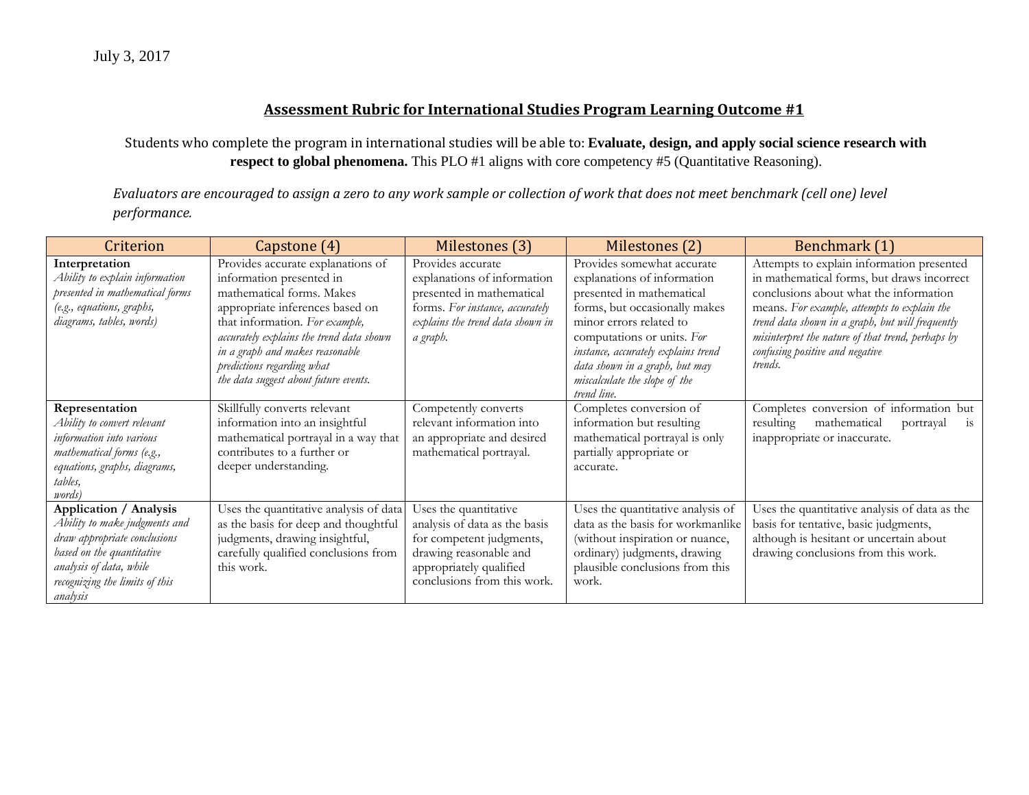Students who complete the program in international studies will be able to: **Evaluate, design, and apply social science research with respect to global phenomena.** This PLO #1 aligns with core competency #5 (Quantitative Reasoning).

| Criterion                                                                                                                                                                                     | Capstone (4)                                                                                                                                                                                                                                                                                                          | Milestones (3)                                                                                                                                                         | Milestones (2)                                                                                                                                                                                                                                                                                            | Benchmark (1)                                                                                                                                                                                                                                                                                                                           |
|-----------------------------------------------------------------------------------------------------------------------------------------------------------------------------------------------|-----------------------------------------------------------------------------------------------------------------------------------------------------------------------------------------------------------------------------------------------------------------------------------------------------------------------|------------------------------------------------------------------------------------------------------------------------------------------------------------------------|-----------------------------------------------------------------------------------------------------------------------------------------------------------------------------------------------------------------------------------------------------------------------------------------------------------|-----------------------------------------------------------------------------------------------------------------------------------------------------------------------------------------------------------------------------------------------------------------------------------------------------------------------------------------|
| Interpretation<br>Ability to explain information<br>presented in mathematical forms<br>(e.g., equations, graphs,<br>diagrams, tables, words)                                                  | Provides accurate explanations of<br>information presented in<br>mathematical forms. Makes<br>appropriate inferences based on<br>that information. For example,<br>accurately explains the trend data shown<br>in a graph and makes reasonable<br>predictions regarding what<br>the data suggest about future events. | Provides accurate<br>explanations of information<br>presented in mathematical<br>forms. For instance, accurately<br>explains the trend data shown in<br>a graph.       | Provides somewhat accurate<br>explanations of information<br>presented in mathematical<br>forms, but occasionally makes<br>minor errors related to<br>computations or units. For<br>instance, accurately explains trend<br>data shown in a graph, but may<br>miscalculate the slope of the<br>trend line. | Attempts to explain information presented<br>in mathematical forms, but draws incorrect<br>conclusions about what the information<br>means. For example, attempts to explain the<br>trend data shown in a graph, but will frequently<br>misinterpret the nature of that trend, perhaps by<br>confusing positive and negative<br>trends. |
| Representation<br>Ability to convert relevant<br>information into various<br>mathematical forms (e.g.,<br>equations, graphs, diagrams,<br>tables,<br><i>words</i> )                           | Skillfully converts relevant<br>information into an insightful<br>mathematical portrayal in a way that<br>contributes to a further or<br>deeper understanding.                                                                                                                                                        | Competently converts<br>relevant information into<br>an appropriate and desired<br>mathematical portrayal.                                                             | Completes conversion of<br>information but resulting<br>mathematical portrayal is only<br>partially appropriate or<br>accurate.                                                                                                                                                                           | Completes conversion of information but<br>mathematical<br>resulting<br>is<br>portrayal<br>inappropriate or inaccurate.                                                                                                                                                                                                                 |
| Application / Analysis<br>Ability to make judgments and<br>draw appropriate conclusions<br>based on the quantitative<br>analysis of data, while<br>recognizing the limits of this<br>analysis | Uses the quantitative analysis of data<br>as the basis for deep and thoughtful<br>judgments, drawing insightful,<br>carefully qualified conclusions from<br>this work.                                                                                                                                                | Uses the quantitative<br>analysis of data as the basis<br>for competent judgments,<br>drawing reasonable and<br>appropriately qualified<br>conclusions from this work. | Uses the quantitative analysis of<br>data as the basis for workmanlike<br>(without inspiration or nuance,<br>ordinary) judgments, drawing<br>plausible conclusions from this<br>work.                                                                                                                     | Uses the quantitative analysis of data as the<br>basis for tentative, basic judgments,<br>although is hesitant or uncertain about<br>drawing conclusions from this work.                                                                                                                                                                |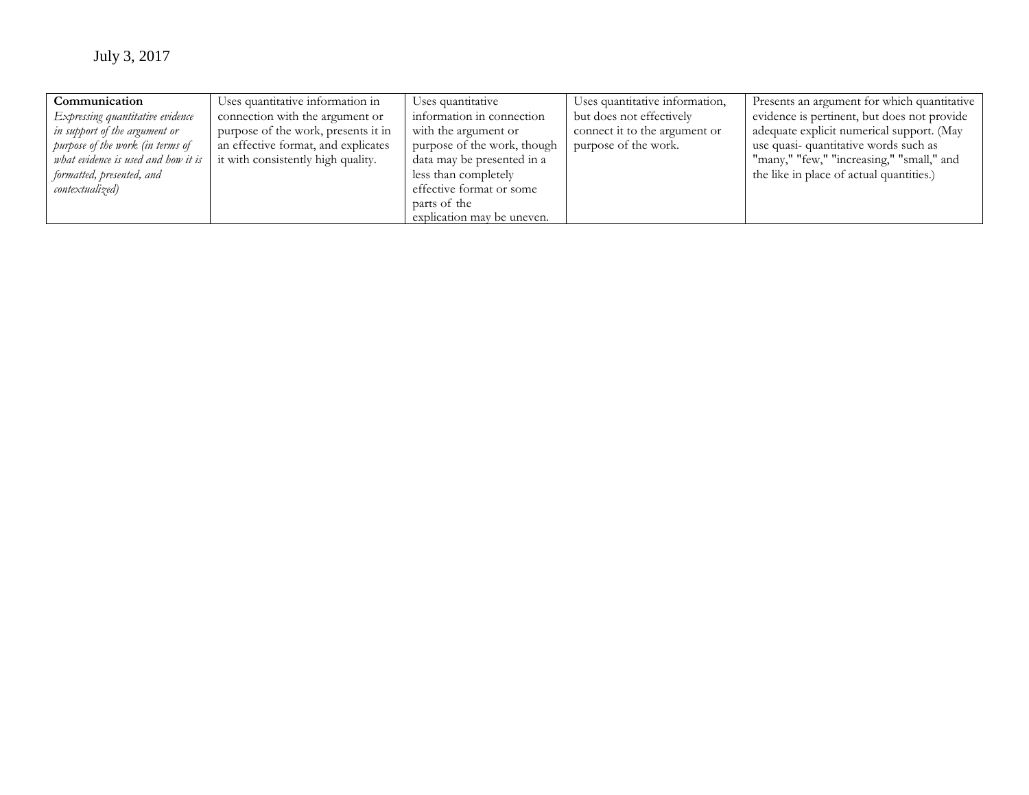| Communication                       | Uses quantitative information in    | Uses quantitative           | Uses quantitative information, | Presents an argument for which quantitative |
|-------------------------------------|-------------------------------------|-----------------------------|--------------------------------|---------------------------------------------|
| Expressing quantitative evidence    | connection with the argument or     | information in connection   | but does not effectively       | evidence is pertinent, but does not provide |
| in support of the argument or       | purpose of the work, presents it in | with the argument or        | connect it to the argument or  | adequate explicit numerical support. (May   |
| purpose of the work (in terms of    | an effective format, and explicates | purpose of the work, though | purpose of the work.           | use quasi-quantitative words such as        |
| what evidence is used and how it is | it with consistently high quality.  | data may be presented in a  |                                | "many," "few," "increasing," "small," and   |
| formatted, presented, and           |                                     | less than completely        |                                | the like in place of actual quantities.)    |
| contextualized)                     |                                     | effective format or some    |                                |                                             |
|                                     |                                     | parts of the                |                                |                                             |
|                                     |                                     | explication may be uneven.  |                                |                                             |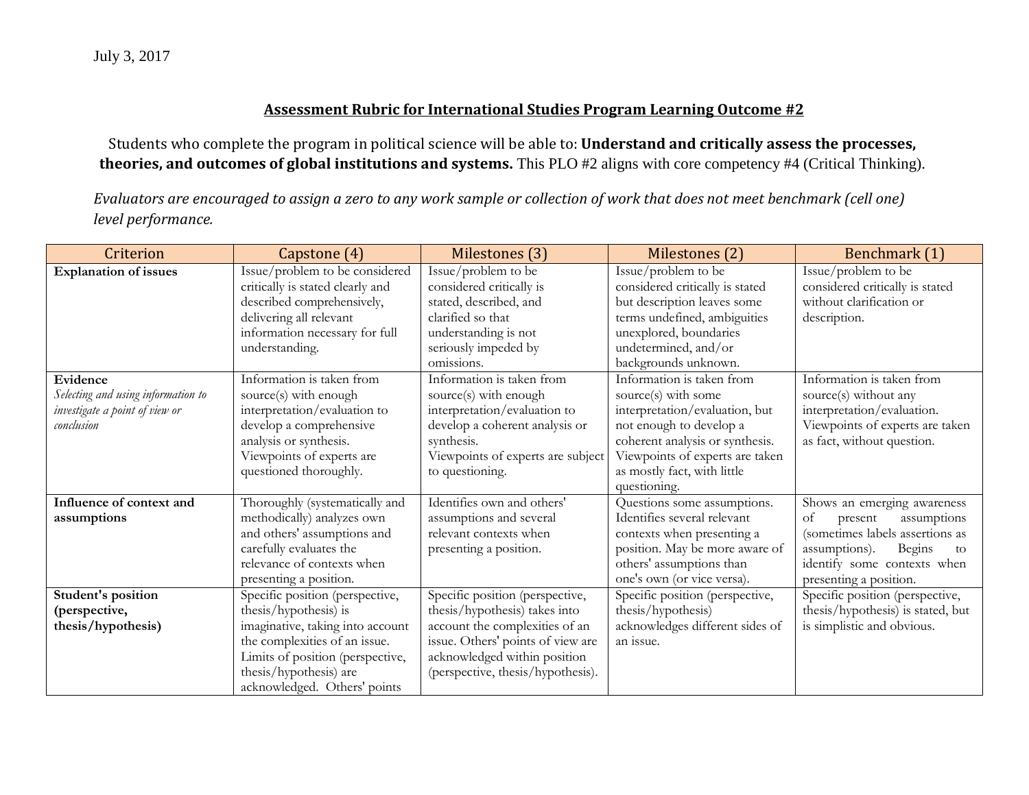Students who complete the program in political science will be able to: **Understand and critically assess the processes, theories, and outcomes of global institutions and systems.** This PLO #2 aligns with core competency #4 (Critical Thinking).

| Criterion                          | Capstone (4)                     | Milestones (3)                    | Milestones (2)                  | Benchmark (1)                     |
|------------------------------------|----------------------------------|-----------------------------------|---------------------------------|-----------------------------------|
| <b>Explanation of issues</b>       | Issue/problem to be considered   | Issue/problem to be               | Issue/problem to be             | Issue/problem to be               |
|                                    | critically is stated clearly and | considered critically is          | considered critically is stated | considered critically is stated   |
|                                    | described comprehensively,       | stated, described, and            | but description leaves some     | without clarification or          |
|                                    | delivering all relevant          | clarified so that                 | terms undefined, ambiguities    | description.                      |
|                                    | information necessary for full   | understanding is not              | unexplored, boundaries          |                                   |
|                                    | understanding.                   | seriously impeded by              | undetermined, and/or            |                                   |
|                                    |                                  | omissions.                        | backgrounds unknown.            |                                   |
| Evidence                           | Information is taken from        | Information is taken from         | Information is taken from       | Information is taken from         |
| Selecting and using information to | source(s) with enough            | source(s) with enough             | source(s) with some             | source(s) without any             |
| investigate a point of view or     | interpretation/evaluation to     | interpretation/evaluation to      | interpretation/evaluation, but  | interpretation/evaluation.        |
| conclusion                         | develop a comprehensive          | develop a coherent analysis or    | not enough to develop a         | Viewpoints of experts are taken   |
|                                    | analysis or synthesis.           | synthesis.                        | coherent analysis or synthesis. | as fact, without question.        |
|                                    | Viewpoints of experts are        | Viewpoints of experts are subject | Viewpoints of experts are taken |                                   |
|                                    | questioned thoroughly.           | to questioning.                   | as mostly fact, with little     |                                   |
|                                    |                                  |                                   | questioning.                    |                                   |
| Influence of context and           | Thoroughly (systematically and   | Identifies own and others'        | Questions some assumptions.     | Shows an emerging awareness       |
| assumptions                        | methodically) analyzes own       | assumptions and several           | Identifies several relevant     | of<br>present<br>assumptions      |
|                                    | and others' assumptions and      | relevant contexts when            | contexts when presenting a      | (sometimes labels assertions as   |
|                                    | carefully evaluates the          | presenting a position.            | position. May be more aware of  | assumptions).<br>Begins<br>to     |
|                                    | relevance of contexts when       |                                   | others' assumptions than        | identify some contexts when       |
|                                    | presenting a position.           |                                   | one's own (or vice versa).      | presenting a position.            |
| Student's position                 | Specific position (perspective,  | Specific position (perspective,   | Specific position (perspective, | Specific position (perspective,   |
| (perspective,                      | thesis/hypothesis) is            | thesis/hypothesis) takes into     | thesis/hypothesis)              | thesis/hypothesis) is stated, but |
| thesis/hypothesis)                 | imaginative, taking into account | account the complexities of an    | acknowledges different sides of | is simplistic and obvious.        |
|                                    | the complexities of an issue.    | issue. Others' points of view are | an issue.                       |                                   |
|                                    | Limits of position (perspective, | acknowledged within position      |                                 |                                   |
|                                    | thesis/hypothesis) are           | (perspective, thesis/hypothesis). |                                 |                                   |
|                                    | acknowledged. Others' points     |                                   |                                 |                                   |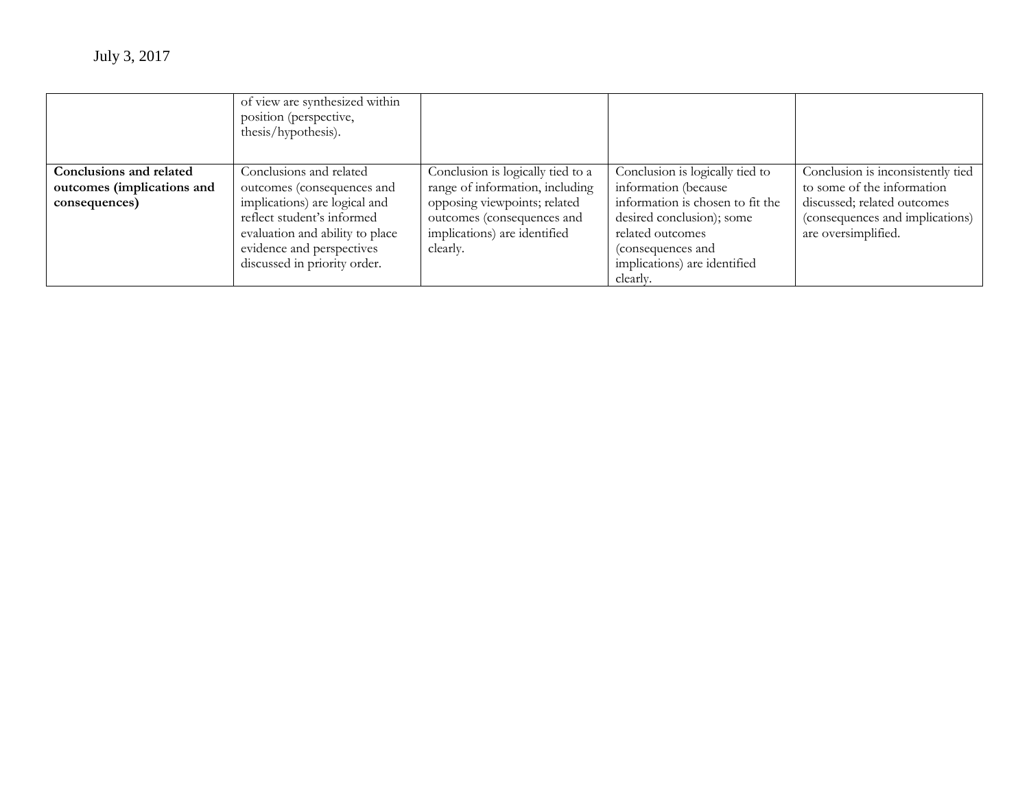|                                                       | of view are synthesized within<br>position (perspective,<br>thesis/hypothesis).                                                                             |                                                                                                        |                                                                                                                                                    |                                                                                       |
|-------------------------------------------------------|-------------------------------------------------------------------------------------------------------------------------------------------------------------|--------------------------------------------------------------------------------------------------------|----------------------------------------------------------------------------------------------------------------------------------------------------|---------------------------------------------------------------------------------------|
| Conclusions and related<br>outcomes (implications and | Conclusions and related<br>outcomes (consequences and                                                                                                       | Conclusion is logically tied to a<br>range of information, including                                   | Conclusion is logically tied to<br>information (because                                                                                            | Conclusion is inconsistently tied<br>to some of the information                       |
| consequences)                                         | implications) are logical and<br>reflect student's informed<br>evaluation and ability to place<br>evidence and perspectives<br>discussed in priority order. | opposing viewpoints; related<br>outcomes (consequences and<br>implications) are identified<br>clearly. | information is chosen to fit the<br>desired conclusion); some<br>related outcomes<br>(consequences and<br>implications) are identified<br>clearly. | discussed; related outcomes<br>(consequences and implications)<br>are oversimplified. |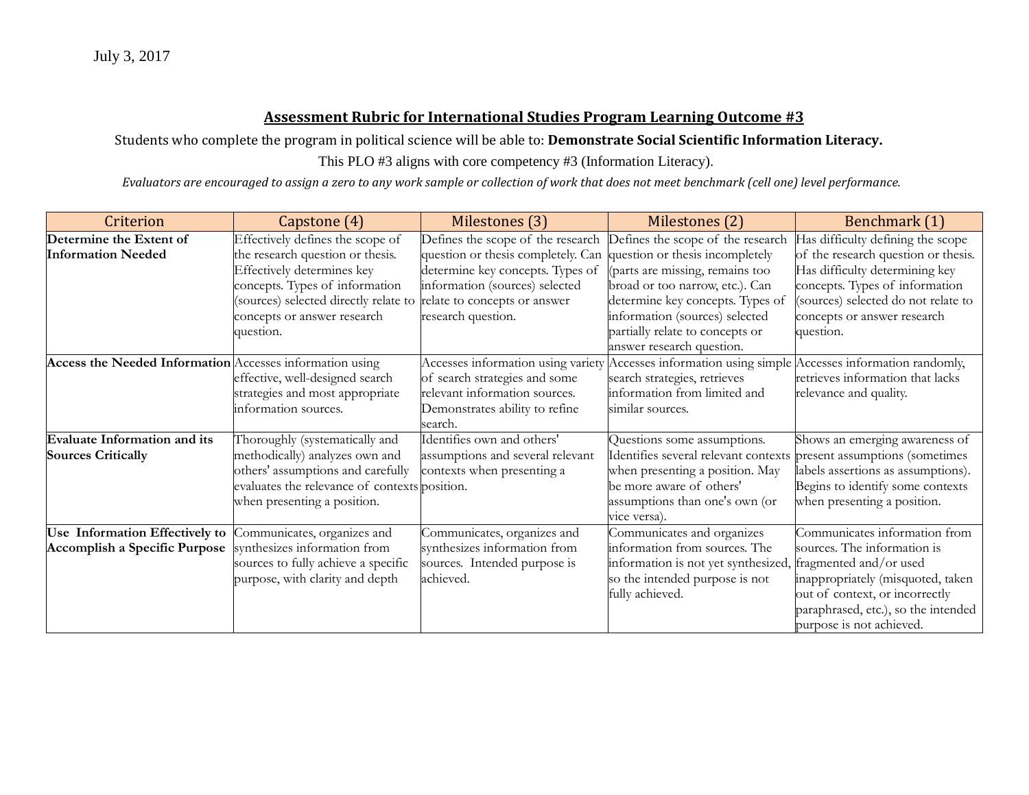Students who complete the program in political science will be able to: **Demonstrate Social Scientific Information Literacy.**

This PLO #3 aligns with core competency #3 (Information Literacy).

| Criterion                                                | Capstone (4)                                  | Milestones (3)                     | Milestones (2)                                                                                      | Benchmark (1)                       |
|----------------------------------------------------------|-----------------------------------------------|------------------------------------|-----------------------------------------------------------------------------------------------------|-------------------------------------|
| Determine the Extent of                                  | Effectively defines the scope of              | Defines the scope of the research  | Defines the scope of the research                                                                   | Has difficulty defining the scope   |
| <b>Information Needed</b>                                | the research question or thesis.              | question or thesis completely. Can | question or thesis incompletely                                                                     | of the research question or thesis. |
|                                                          | Effectively determines key                    | determine key concepts. Types of   | (parts are missing, remains too                                                                     | Has difficulty determining key      |
|                                                          | concepts. Types of information                | information (sources) selected     | broad or too narrow, etc.). Can                                                                     | concepts. Types of information      |
|                                                          | (sources) selected directly relate to         | relate to concepts or answer       | determine key concepts. Types of                                                                    | (sources) selected do not relate to |
|                                                          | concepts or answer research                   | research question.                 | information (sources) selected                                                                      | concepts or answer research         |
|                                                          | question.                                     |                                    | partially relate to concepts or                                                                     | question.                           |
|                                                          |                                               |                                    | answer research question.                                                                           |                                     |
| Access the Needed Information Accesses information using |                                               |                                    | Accesses information using variety Accesses information using simple Accesses information randomly, |                                     |
|                                                          | effective, well-designed search               | of search strategies and some      | search strategies, retrieves                                                                        | retrieves information that lacks    |
|                                                          | strategies and most appropriate               | relevant information sources.      | information from limited and                                                                        | relevance and quality.              |
|                                                          | information sources.                          | Demonstrates ability to refine     | similar sources.                                                                                    |                                     |
|                                                          |                                               | search.                            |                                                                                                     |                                     |
| <b>Evaluate Information and its</b>                      | Thoroughly (systematically and                | Identifies own and others'         | Questions some assumptions.                                                                         | Shows an emerging awareness of      |
| <b>Sources Critically</b>                                | methodically) analyzes own and                | assumptions and several relevant   | Identifies several relevant contexts present assumptions (sometimes                                 |                                     |
|                                                          | others' assumptions and carefully             | contexts when presenting a         | when presenting a position. May                                                                     | labels assertions as assumptions).  |
|                                                          | evaluates the relevance of contexts position. |                                    | be more aware of others'                                                                            | Begins to identify some contexts    |
|                                                          | when presenting a position.                   |                                    | assumptions than one's own (or                                                                      | when presenting a position.         |
|                                                          |                                               |                                    | vice versa).                                                                                        |                                     |
| Use Information Effectively to                           | Communicates, organizes and                   | Communicates, organizes and        | Communicates and organizes                                                                          | Communicates information from       |
| Accomplish a Specific Purpose                            | synthesizes information from                  | synthesizes information from       | information from sources. The                                                                       | sources. The information is         |
|                                                          | sources to fully achieve a specific           | sources. Intended purpose is       | information is not yet synthesized, fragmented and/or used                                          |                                     |
|                                                          | purpose, with clarity and depth               | achieved.                          | so the intended purpose is not                                                                      | inappropriately (misquoted, taken   |
|                                                          |                                               |                                    | fully achieved.                                                                                     | out of context, or incorrectly      |
|                                                          |                                               |                                    |                                                                                                     | paraphrased, etc.), so the intended |
|                                                          |                                               |                                    |                                                                                                     | purpose is not achieved.            |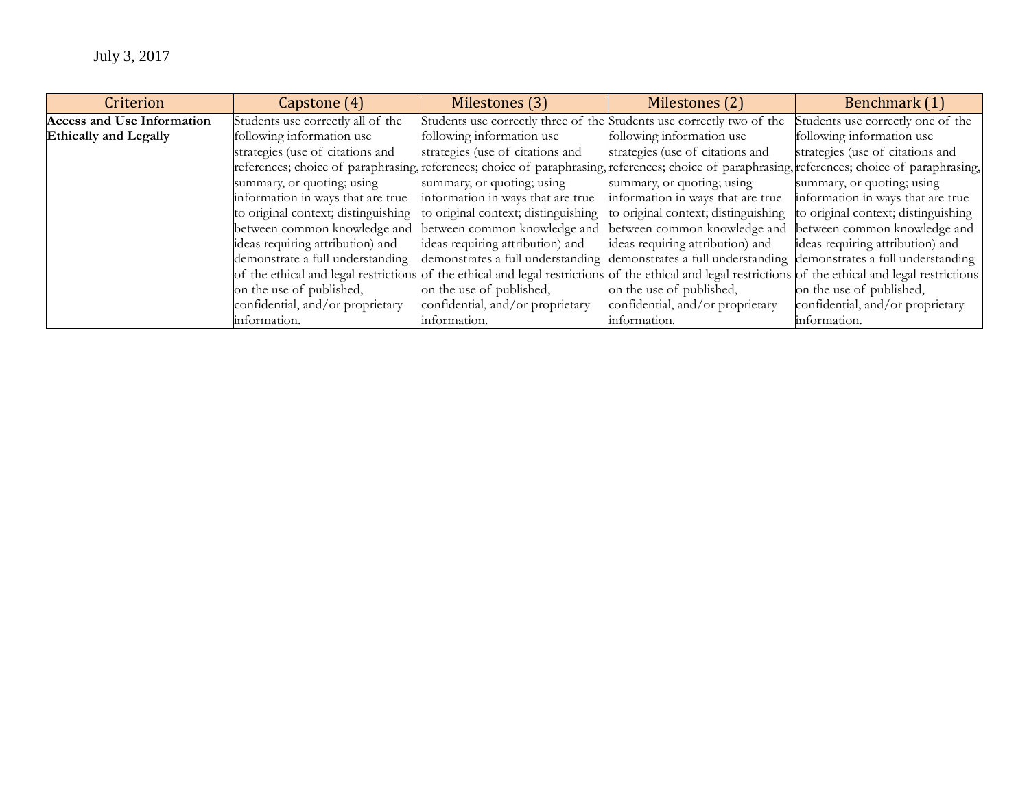| Criterion                         | Capstone (4)                                                                                                                                            | Milestones (3)                                                        | Milestones (2)                                                                                        | Benchmark (1)                       |
|-----------------------------------|---------------------------------------------------------------------------------------------------------------------------------------------------------|-----------------------------------------------------------------------|-------------------------------------------------------------------------------------------------------|-------------------------------------|
| <b>Access and Use Information</b> | Students use correctly all of the                                                                                                                       | Students use correctly three of the Students use correctly two of the |                                                                                                       | Students use correctly one of the   |
| <b>Ethically and Legally</b>      | following information use                                                                                                                               | following information use                                             | following information use                                                                             | following information use           |
|                                   | strategies (use of citations and                                                                                                                        | strategies (use of citations and                                      | strategies (use of citations and                                                                      | strategies (use of citations and    |
|                                   | references; choice of paraphrasing, references; choice of paraphrasing, references; choice of paraphrasing, references; choice of paraphrasing,         |                                                                       |                                                                                                       |                                     |
|                                   | summary, or quoting; using                                                                                                                              | summary, or quoting; using                                            | summary, or quoting; using                                                                            | summary, or quoting; using          |
|                                   | information in ways that are true                                                                                                                       | information in ways that are true                                     | information in ways that are true                                                                     | information in ways that are true   |
|                                   | to original context; distinguishing                                                                                                                     | to original context; distinguishing                                   | to original context; distinguishing                                                                   | to original context; distinguishing |
|                                   | between common knowledge and                                                                                                                            | between common knowledge and                                          | between common knowledge and                                                                          | between common knowledge and        |
|                                   | ideas requiring attribution) and                                                                                                                        | ideas requiring attribution) and                                      | ideas requiring attribution) and                                                                      | ideas requiring attribution) and    |
|                                   | demonstrate a full understanding                                                                                                                        |                                                                       | demonstrates a full understanding demonstrates a full understanding demonstrates a full understanding |                                     |
|                                   | of the ethical and legal restrictions of the ethical and legal restrictions of the ethical and legal restrictions of the ethical and legal restrictions |                                                                       |                                                                                                       |                                     |
|                                   | on the use of published,                                                                                                                                | on the use of published,                                              | on the use of published,                                                                              | on the use of published,            |
|                                   | confidential, and/or proprietary                                                                                                                        | confidential, and/or proprietary                                      | confidential, and/or proprietary                                                                      | confidential, and/or proprietary    |
|                                   | information.                                                                                                                                            | information.                                                          | information.                                                                                          | information.                        |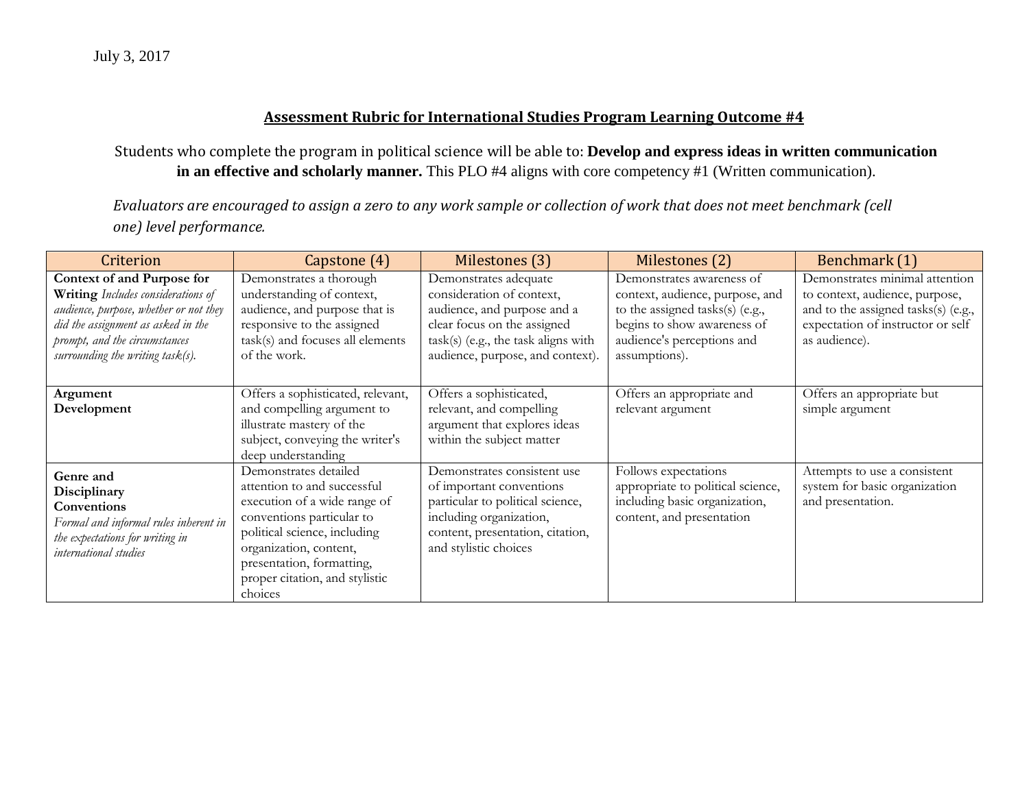Students who complete the program in political science will be able to: **Develop and express ideas in written communication in an effective and scholarly manner.** This PLO #4 aligns with core competency #1 (Written communication).

| Criterion                                                                                                                                                                                                             | Capstone (4)                                                                                                                                                                                                                                          | Milestones (3)                                                                                                                                                                              | Milestones (2)                                                                                                                                                                | Benchmark (1)                                                                                                                                                 |
|-----------------------------------------------------------------------------------------------------------------------------------------------------------------------------------------------------------------------|-------------------------------------------------------------------------------------------------------------------------------------------------------------------------------------------------------------------------------------------------------|---------------------------------------------------------------------------------------------------------------------------------------------------------------------------------------------|-------------------------------------------------------------------------------------------------------------------------------------------------------------------------------|---------------------------------------------------------------------------------------------------------------------------------------------------------------|
| Context of and Purpose for<br>Writing Includes considerations of<br>audience, purpose, whether or not they<br>did the assignment as asked in the<br>prompt, and the circumstances<br>surrounding the writing task(s). | Demonstrates a thorough<br>understanding of context,<br>audience, and purpose that is<br>responsive to the assigned<br>task(s) and focuses all elements<br>of the work.                                                                               | Demonstrates adequate<br>consideration of context,<br>audience, and purpose and a<br>clear focus on the assigned<br>task(s) (e.g., the task aligns with<br>audience, purpose, and context). | Demonstrates awareness of<br>context, audience, purpose, and<br>to the assigned tasks(s) (e.g.,<br>begins to show awareness of<br>audience's perceptions and<br>assumptions). | Demonstrates minimal attention<br>to context, audience, purpose,<br>and to the assigned tasks(s) (e.g.,<br>expectation of instructor or self<br>as audience). |
| Argument<br>Development                                                                                                                                                                                               | Offers a sophisticated, relevant,<br>and compelling argument to<br>illustrate mastery of the<br>subject, conveying the writer's<br>deep understanding                                                                                                 | Offers a sophisticated,<br>relevant, and compelling<br>argument that explores ideas<br>within the subject matter                                                                            | Offers an appropriate and<br>relevant argument                                                                                                                                | Offers an appropriate but<br>simple argument                                                                                                                  |
| Genre and<br>Disciplinary<br>Conventions<br>Formal and informal rules inherent in<br>the expectations for writing in<br>international studies                                                                         | Demonstrates detailed<br>attention to and successful<br>execution of a wide range of<br>conventions particular to<br>political science, including<br>organization, content,<br>presentation, formatting,<br>proper citation, and stylistic<br>choices | Demonstrates consistent use<br>of important conventions<br>particular to political science,<br>including organization,<br>content, presentation, citation,<br>and stylistic choices         | Follows expectations<br>appropriate to political science,<br>including basic organization,<br>content, and presentation                                                       | Attempts to use a consistent<br>system for basic organization<br>and presentation.                                                                            |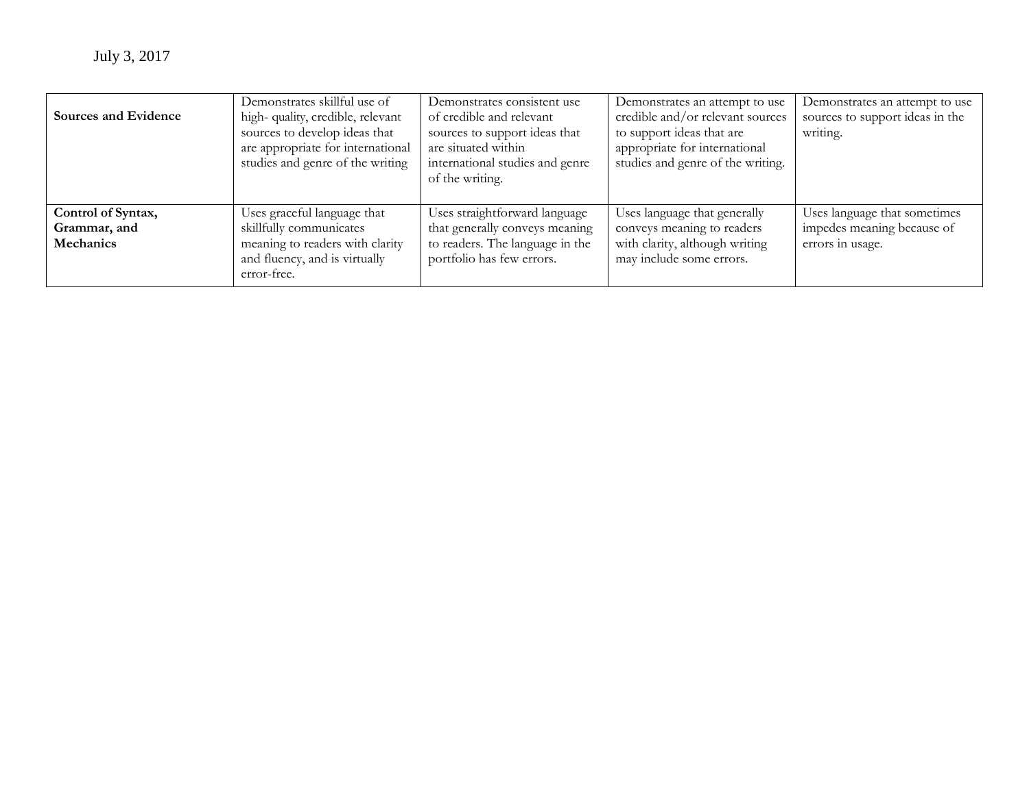| Sources and Evidence               | Demonstrates skillful use of<br>high-quality, credible, relevant<br>sources to develop ideas that<br>are appropriate for international<br>studies and genre of the writing | Demonstrates consistent use<br>of credible and relevant<br>sources to support ideas that<br>are situated within<br>international studies and genre<br>of the writing. | Demonstrates an attempt to use<br>credible and/or relevant sources<br>to support ideas that are<br>appropriate for international<br>studies and genre of the writing. | Demonstrates an attempt to use<br>sources to support ideas in the<br>writing. |
|------------------------------------|----------------------------------------------------------------------------------------------------------------------------------------------------------------------------|-----------------------------------------------------------------------------------------------------------------------------------------------------------------------|-----------------------------------------------------------------------------------------------------------------------------------------------------------------------|-------------------------------------------------------------------------------|
| Control of Syntax,<br>Grammar, and | Uses graceful language that<br>skillfully communicates                                                                                                                     | Uses straightforward language<br>that generally conveys meaning                                                                                                       | Uses language that generally<br>conveys meaning to readers                                                                                                            | Uses language that sometimes<br>impedes meaning because of                    |
| Mechanics                          | meaning to readers with clarity<br>and fluency, and is virtually<br>error-free.                                                                                            | to readers. The language in the<br>portfolio has few errors.                                                                                                          | with clarity, although writing<br>may include some errors.                                                                                                            | errors in usage.                                                              |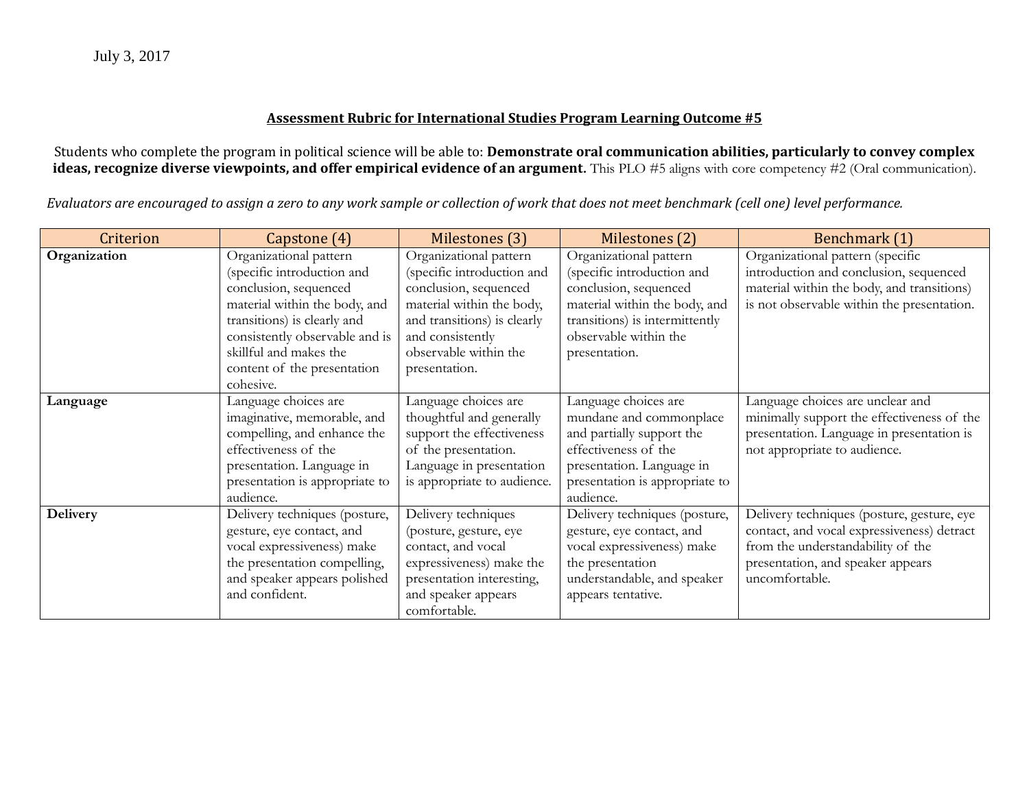Students who complete the program in political science will be able to: **Demonstrate oral communication abilities, particularly to convey complex ideas, recognize diverse viewpoints, and offer empirical evidence of an argument.** This PLO #5 aligns with core competency #2 (Oral communication).

| Criterion    | Capstone (4)                   | Milestones (3)              | Milestones (2)                 | Benchmark (1)                              |
|--------------|--------------------------------|-----------------------------|--------------------------------|--------------------------------------------|
| Organization | Organizational pattern         | Organizational pattern      | Organizational pattern         | Organizational pattern (specific           |
|              | (specific introduction and     | (specific introduction and  | (specific introduction and     | introduction and conclusion, sequenced     |
|              | conclusion, sequenced          | conclusion, sequenced       | conclusion, sequenced          | material within the body, and transitions) |
|              | material within the body, and  | material within the body,   | material within the body, and  | is not observable within the presentation. |
|              | transitions) is clearly and    | and transitions) is clearly | transitions) is intermittently |                                            |
|              | consistently observable and is | and consistently            | observable within the          |                                            |
|              | skillful and makes the         | observable within the       | presentation.                  |                                            |
|              | content of the presentation    | presentation.               |                                |                                            |
|              | cohesive.                      |                             |                                |                                            |
| Language     | Language choices are           | Language choices are        | Language choices are           | Language choices are unclear and           |
|              | imaginative, memorable, and    | thoughtful and generally    | mundane and commonplace        | minimally support the effectiveness of the |
|              | compelling, and enhance the    | support the effectiveness   | and partially support the      | presentation. Language in presentation is  |
|              | effectiveness of the           | of the presentation.        | effectiveness of the           | not appropriate to audience.               |
|              | presentation. Language in      | Language in presentation    | presentation. Language in      |                                            |
|              | presentation is appropriate to | is appropriate to audience. | presentation is appropriate to |                                            |
|              | audience.                      |                             | audience.                      |                                            |
| Delivery     | Delivery techniques (posture,  | Delivery techniques         | Delivery techniques (posture,  | Delivery techniques (posture, gesture, eye |
|              | gesture, eye contact, and      | (posture, gesture, eye      | gesture, eye contact, and      | contact, and vocal expressiveness) detract |
|              | vocal expressiveness) make     | contact, and vocal          | vocal expressiveness) make     | from the understandability of the          |
|              | the presentation compelling,   | expressiveness) make the    | the presentation               | presentation, and speaker appears          |
|              | and speaker appears polished   | presentation interesting,   | understandable, and speaker    | uncomfortable.                             |
|              | and confident.                 | and speaker appears         | appears tentative.             |                                            |
|              |                                | comfortable.                |                                |                                            |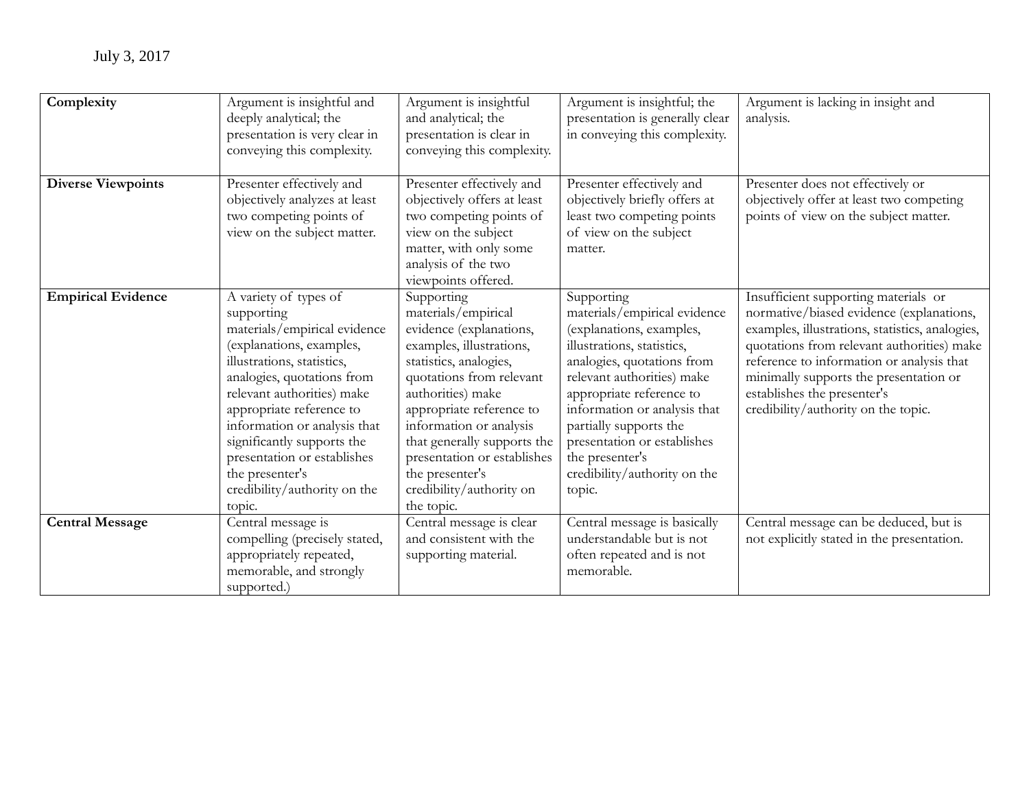| Complexity                | Argument is insightful and<br>deeply analytical; the<br>presentation is very clear in<br>conveying this complexity.                                                                                                                                                                                                                                                             | Argument is insightful<br>and analytical; the<br>presentation is clear in<br>conveying this complexity.                                                                                                                                                                                                                                               | Argument is insightful; the<br>presentation is generally clear<br>in conveying this complexity.                                                                                                                                                                                                                                                    | Argument is lacking in insight and<br>analysis.                                                                                                                                                                                                                                                                                                |
|---------------------------|---------------------------------------------------------------------------------------------------------------------------------------------------------------------------------------------------------------------------------------------------------------------------------------------------------------------------------------------------------------------------------|-------------------------------------------------------------------------------------------------------------------------------------------------------------------------------------------------------------------------------------------------------------------------------------------------------------------------------------------------------|----------------------------------------------------------------------------------------------------------------------------------------------------------------------------------------------------------------------------------------------------------------------------------------------------------------------------------------------------|------------------------------------------------------------------------------------------------------------------------------------------------------------------------------------------------------------------------------------------------------------------------------------------------------------------------------------------------|
| <b>Diverse Viewpoints</b> | Presenter effectively and<br>objectively analyzes at least<br>two competing points of<br>view on the subject matter.                                                                                                                                                                                                                                                            | Presenter effectively and<br>objectively offers at least<br>two competing points of<br>view on the subject<br>matter, with only some<br>analysis of the two<br>viewpoints offered.                                                                                                                                                                    | Presenter effectively and<br>objectively briefly offers at<br>least two competing points<br>of view on the subject<br>matter.                                                                                                                                                                                                                      | Presenter does not effectively or<br>objectively offer at least two competing<br>points of view on the subject matter.                                                                                                                                                                                                                         |
| <b>Empirical Evidence</b> | A variety of types of<br>supporting<br>materials/empirical evidence<br>(explanations, examples,<br>illustrations, statistics,<br>analogies, quotations from<br>relevant authorities) make<br>appropriate reference to<br>information or analysis that<br>significantly supports the<br>presentation or establishes<br>the presenter's<br>credibility/authority on the<br>topic. | Supporting<br>materials/empirical<br>evidence (explanations,<br>examples, illustrations,<br>statistics, analogies,<br>quotations from relevant<br>authorities) make<br>appropriate reference to<br>information or analysis<br>that generally supports the<br>presentation or establishes<br>the presenter's<br>credibility/authority on<br>the topic. | Supporting<br>materials/empirical evidence<br>(explanations, examples,<br>illustrations, statistics,<br>analogies, quotations from<br>relevant authorities) make<br>appropriate reference to<br>information or analysis that<br>partially supports the<br>presentation or establishes<br>the presenter's<br>credibility/authority on the<br>topic. | Insufficient supporting materials or<br>normative/biased evidence (explanations,<br>examples, illustrations, statistics, analogies,<br>quotations from relevant authorities) make<br>reference to information or analysis that<br>minimally supports the presentation or<br>establishes the presenter's<br>credibility/authority on the topic. |
| <b>Central Message</b>    | Central message is<br>compelling (precisely stated,<br>appropriately repeated,<br>memorable, and strongly<br>supported.)                                                                                                                                                                                                                                                        | Central message is clear<br>and consistent with the<br>supporting material.                                                                                                                                                                                                                                                                           | Central message is basically<br>understandable but is not<br>often repeated and is not<br>memorable.                                                                                                                                                                                                                                               | Central message can be deduced, but is<br>not explicitly stated in the presentation.                                                                                                                                                                                                                                                           |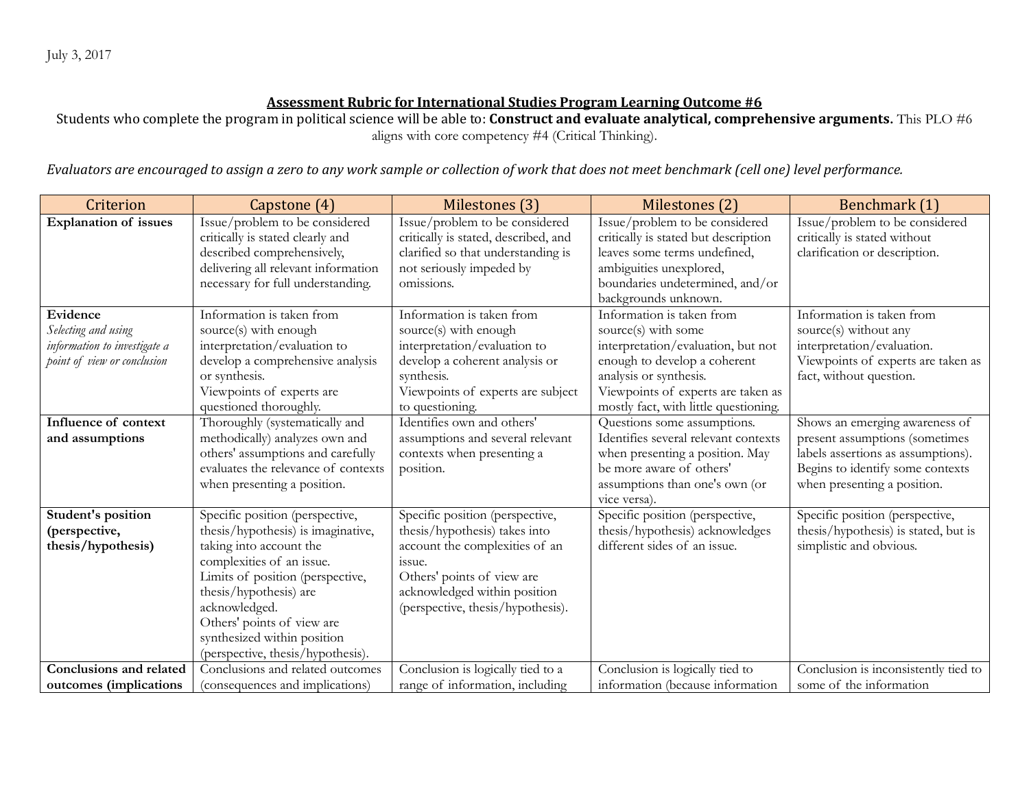Students who complete the program in political science will be able to: **Construct and evaluate analytical, comprehensive arguments.** This PLO #6 aligns with core competency #4 (Critical Thinking).

| Criterion                                                                                      | Capstone (4)                                                                                                                                                                                                                                                                                                   | Milestones (3)                                                                                                                                                                                                  | Milestones (2)                                                                                                                                                                                                                  | Benchmark (1)                                                                                                                                                             |
|------------------------------------------------------------------------------------------------|----------------------------------------------------------------------------------------------------------------------------------------------------------------------------------------------------------------------------------------------------------------------------------------------------------------|-----------------------------------------------------------------------------------------------------------------------------------------------------------------------------------------------------------------|---------------------------------------------------------------------------------------------------------------------------------------------------------------------------------------------------------------------------------|---------------------------------------------------------------------------------------------------------------------------------------------------------------------------|
| <b>Explanation of issues</b>                                                                   | Issue/problem to be considered<br>critically is stated clearly and<br>described comprehensively,<br>delivering all relevant information<br>necessary for full understanding.                                                                                                                                   | Issue/problem to be considered<br>critically is stated, described, and<br>clarified so that understanding is<br>not seriously impeded by<br>omissions.                                                          | Issue/problem to be considered<br>critically is stated but description<br>leaves some terms undefined,<br>ambiguities unexplored,<br>boundaries undetermined, and/or<br>backgrounds unknown.                                    | Issue/problem to be considered<br>critically is stated without<br>clarification or description.                                                                           |
| Evidence<br>Selecting and using<br>information to investigate a<br>point of view or conclusion | Information is taken from<br>source(s) with enough<br>interpretation/evaluation to<br>develop a comprehensive analysis<br>or synthesis.<br>Viewpoints of experts are<br>questioned thoroughly.                                                                                                                 | Information is taken from<br>source(s) with enough<br>interpretation/evaluation to<br>develop a coherent analysis or<br>synthesis.<br>Viewpoints of experts are subject<br>to questioning.                      | Information is taken from<br>source(s) with some<br>interpretation/evaluation, but not<br>enough to develop a coherent<br>analysis or synthesis.<br>Viewpoints of experts are taken as<br>mostly fact, with little questioning. | Information is taken from<br>source(s) without any<br>interpretation/evaluation.<br>Viewpoints of experts are taken as<br>fact, without question.                         |
| Influence of context<br>and assumptions                                                        | Thoroughly (systematically and<br>methodically) analyzes own and<br>others' assumptions and carefully<br>evaluates the relevance of contexts<br>when presenting a position.                                                                                                                                    | Identifies own and others'<br>assumptions and several relevant<br>contexts when presenting a<br>position.                                                                                                       | Questions some assumptions.<br>Identifies several relevant contexts<br>when presenting a position. May<br>be more aware of others'<br>assumptions than one's own (or<br>vice versa).                                            | Shows an emerging awareness of<br>present assumptions (sometimes<br>labels assertions as assumptions).<br>Begins to identify some contexts<br>when presenting a position. |
| Student's position<br>(perspective,<br>thesis/hypothesis)                                      | Specific position (perspective,<br>thesis/hypothesis) is imaginative,<br>taking into account the<br>complexities of an issue.<br>Limits of position (perspective,<br>thesis/hypothesis) are<br>acknowledged.<br>Others' points of view are<br>synthesized within position<br>(perspective, thesis/hypothesis). | Specific position (perspective,<br>thesis/hypothesis) takes into<br>account the complexities of an<br>issue.<br>Others' points of view are<br>acknowledged within position<br>(perspective, thesis/hypothesis). | Specific position (perspective,<br>thesis/hypothesis) acknowledges<br>different sides of an issue.                                                                                                                              | Specific position (perspective,<br>thesis/hypothesis) is stated, but is<br>simplistic and obvious.                                                                        |
| Conclusions and related<br>outcomes (implications                                              | Conclusions and related outcomes<br>(consequences and implications)                                                                                                                                                                                                                                            | Conclusion is logically tied to a<br>range of information, including                                                                                                                                            | Conclusion is logically tied to<br>information (because information                                                                                                                                                             | Conclusion is inconsistently tied to<br>some of the information                                                                                                           |